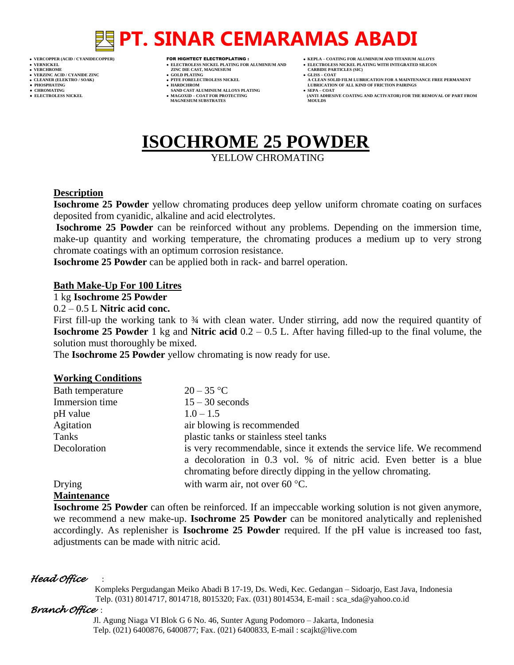## **PT. SINAR CEMARAMAS ABADI**

- 
- 
- 
- 

- **VERFORM ZINC DIE CAST, MAGNESIUM CARBIDE PARTICLES (SIC)**<br> **CARBIDE PARTING**
- **VERZINC ACID / CYANIDE ZINC GOLD PLATING GLISS – COAT**
	-
- **● CHROMATING SAND CAST ALUMINIUM ALLOYS PLATING SEPA – COAT MAGNESIUM SUBSTRATES**
- **VERCOPPER (ACID / CYANIDECOPPER)** FOR HIGHTECT ELECTROPLATING :  **KEPLA – COATING FOR ALUMINIUM AND TITANIUM ALLOYS**
- **VERNICKEL ELECTROLESS NICKEL PLATING FOR ALUMINIUM AND ELECTROLESS NICKEL PLATING WITH INTEGRATED SILICON**
	-
- **A CLEAN SOLID FILM LUBRICATION FOR A MAINTENANCE FREE PERMANENT ● PHOSPHATING HARDCHROM LUBRICATION OF ALL KIND OF FRICTION PAIRINGS** 
	- **ELECTROLESS AND ACTIVATOR) FOR THE REMOVAL OF PART FROM MOULDS**

## **ISOCHROME 25 POWDER**

YELLOW CHROMATING

## **Description**

**Isochrome 25 Powder** yellow chromating produces deep yellow uniform chromate coating on surfaces deposited from cyanidic, alkaline and acid electrolytes.

**Isochrome 25 Powder** can be reinforced without any problems. Depending on the immersion time, make-up quantity and working temperature, the chromating produces a medium up to very strong chromate coatings with an optimum corrosion resistance.

**Isochrome 25 Powder** can be applied both in rack- and barrel operation.

### **Bath Make-Up For 100 Litres**

### 1 kg **Isochrome 25 Powder**

0.2 – 0.5 L **Nitric acid conc.**

First fill-up the working tank to 34 with clean water. Under stirring, add now the required quantity of **Isochrome 25 Powder** 1 kg and **Nitric acid** 0.2 – 0.5 L. After having filled-up to the final volume, the solution must thoroughly be mixed.

The **Isochrome 25 Powder** yellow chromating is now ready for use.

## **Working Conditions**

| Bath temperature | $20 - 35$ °C                                                           |  |
|------------------|------------------------------------------------------------------------|--|
| Immersion time   | $15 - 30$ seconds                                                      |  |
| pH value         | $1.0 - 1.5$                                                            |  |
| Agitation        | air blowing is recommended                                             |  |
| Tanks            | plastic tanks or stainless steel tanks                                 |  |
| Decoloration     | is very recommendable, since it extends the service life. We recommend |  |
|                  | a decoloration in 0.3 vol. % of nitric acid. Even better is a blue     |  |
|                  | chromating before directly dipping in the yellow chromating.           |  |
| Drying           | with warm air, not over 60 $\degree$ C.                                |  |

## **Maintenance**

**Isochrome 25 Powder** can often be reinforced. If an impeccable working solution is not given anymore, we recommend a new make-up. **Isochrome 25 Powder** can be monitored analytically and replenished accordingly. As replenisher is **Isochrome 25 Powder** required. If the pH value is increased too fast, adjustments can be made with nitric acid.

## *Head Office* :

 Kompleks Pergudangan Meiko Abadi B 17-19, Ds. Wedi, Kec. Gedangan – Sidoarjo, East Java, Indonesia Telp. (031) 8014717, 8014718, 8015320; Fax. (031) 8014534, E-mail : sca\_sda@yahoo.co.id

## *Branch Office* :

 Jl. Agung Niaga VI Blok G 6 No. 46, Sunter Agung Podomoro – Jakarta, Indonesia Telp. (021) 6400876, 6400877; Fax. (021) 6400833, E-mail : scajkt@live.com